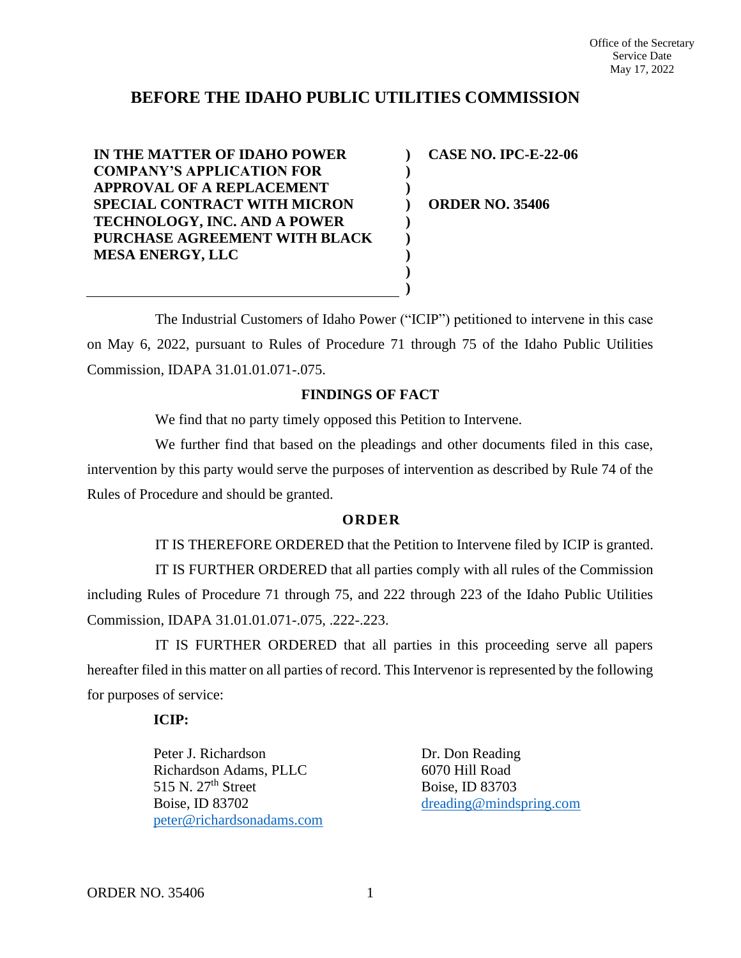## **BEFORE THE IDAHO PUBLIC UTILITIES COMMISSION**

**) ) ) ) ) ) ) ) )**

**IN THE MATTER OF IDAHO POWER COMPANY'S APPLICATION FOR APPROVAL OF A REPLACEMENT SPECIAL CONTRACT WITH MICRON TECHNOLOGY, INC. AND A POWER PURCHASE AGREEMENT WITH BLACK MESA ENERGY, LLC**

**CASE NO. IPC-E-22-06**

**ORDER NO. 35406**

The Industrial Customers of Idaho Power ("ICIP") petitioned to intervene in this case on May 6, 2022, pursuant to Rules of Procedure 71 through 75 of the Idaho Public Utilities Commission, IDAPA 31.01.01.071-.075.

## **FINDINGS OF FACT**

We find that no party timely opposed this Petition to Intervene.

We further find that based on the pleadings and other documents filed in this case, intervention by this party would serve the purposes of intervention as described by Rule 74 of the Rules of Procedure and should be granted.

## **O R D E R**

IT IS THEREFORE ORDERED that the Petition to Intervene filed by ICIP is granted. IT IS FURTHER ORDERED that all parties comply with all rules of the Commission including Rules of Procedure 71 through 75, and 222 through 223 of the Idaho Public Utilities Commission, IDAPA 31.01.01.071-.075, .222-.223.

IT IS FURTHER ORDERED that all parties in this proceeding serve all papers hereafter filed in this matter on all parties of record. This Intervenor is represented by the following for purposes of service:

## **ICIP:**

Peter J. Richardson Richardson Adams, PLLC 515 N. 27<sup>th</sup> Street Boise, ID 83702 [peter@richardsonadams.com](mailto:peter@richardsonadams.com) Dr. Don Reading 6070 Hill Road Boise, ID 83703 [dreading@mindspring.com](mailto:dreading@mindspring.com)